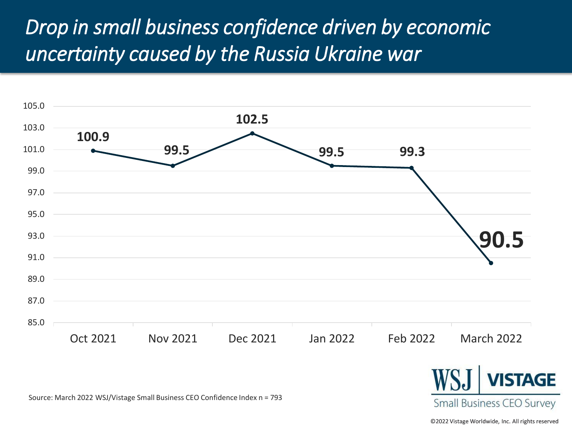## *Drop in small business confidence driven by economic uncertainty caused by the Russia Ukraine war*





Source: March 2022 WSJ/Vistage Small Business CEO Confidence Index n = 793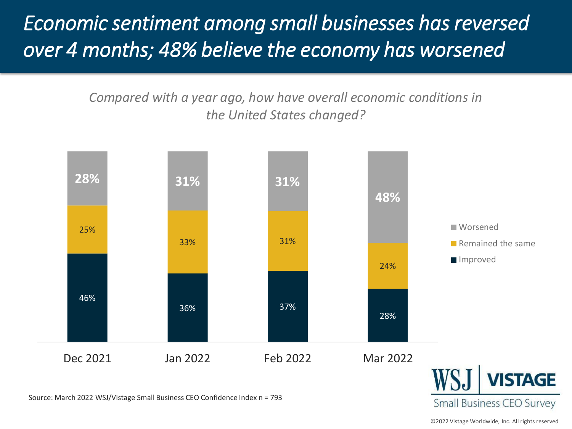# *Economic sentiment among small businesses has reversed over 4 months; 48% believe the economy has worsened*

*Compared with a year ago, how have overall economic conditions in the United States changed?*



Source: March 2022 WSJ/Vistage Small Business CEO Confidence Index n = 793

**Small Business CEO Survey**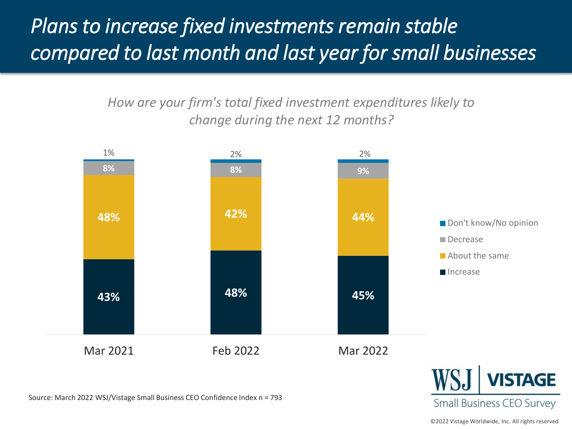# *Plans to increase fixed investments remain stable compared to last month and last year for small businesses*

*How are your firm's total fixed investment expenditures likely to change during the next 12 months?* 



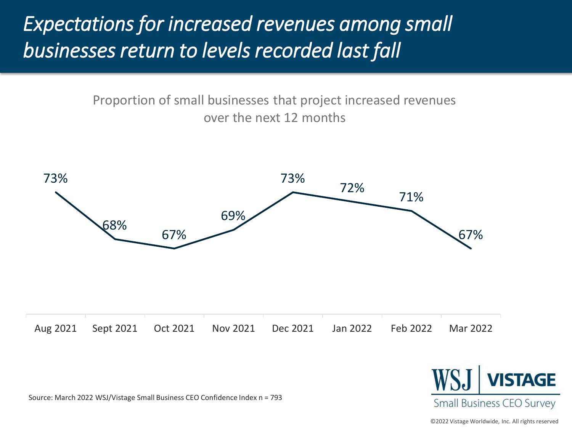## *Expectations for increased revenues among small businesses return to levels recorded last fall*

Proportion of small businesses that project increased revenues over the next 12 months





Source: March 2022 WSJ/Vistage Small Business CEO Confidence Index n = 793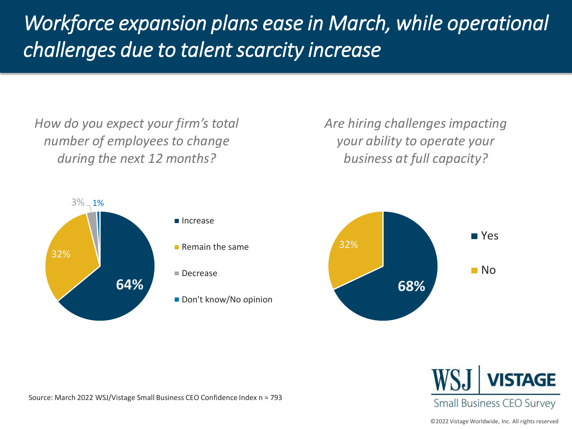# *Workforce expansion plans ease in March, while operational challenges due to talent scarcity increase*

*How do you expect your firm's total number of employees to change during the next 12 months?*

*Are hiring challenges impacting your ability to operate your business at full capacity?*



- $\blacksquare$  Remain the same
- Don't know/No opinion



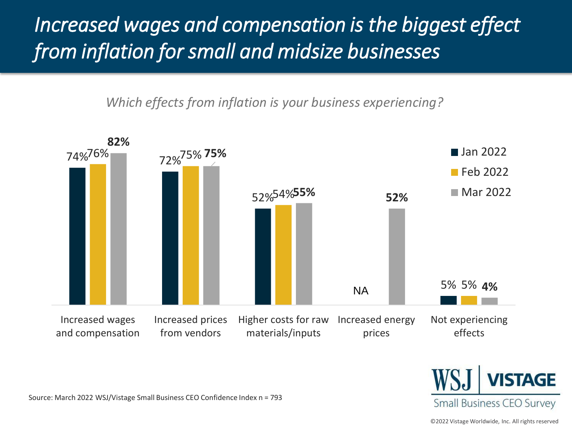# *Increased wages and compensation is the biggest effect from inflation for small and midsize businesses*

*Which effects from inflation is your business experiencing?* 





Source: March 2022 WSJ/Vistage Small Business CEO Confidence Index n = 793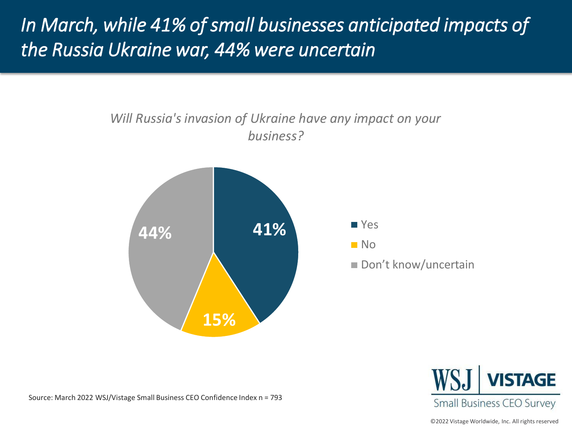### *In March, while 41% of small businesses anticipated impacts of the Russia Ukraine war, 44% were uncertain*

#### *Will Russia's invasion of Ukraine have any impact on your business?*



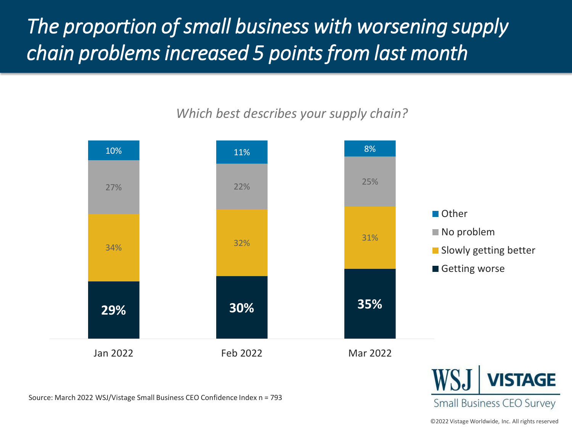# *The proportion of small business with worsening supply chain problems increased 5 points from last month*

### *Which best describes your supply chain?*





©2022 Vistage Worldwide, Inc. All rights reserved

**Small Business CEO Survey**